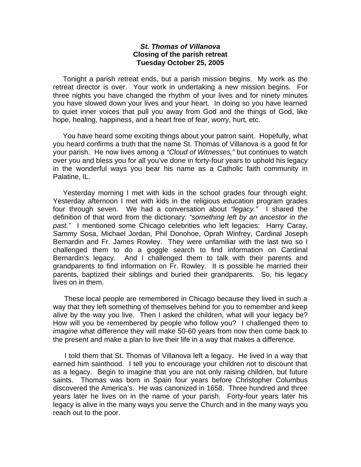## *St. Thomas of Villanova* **Closing of the parish retreat Tuesday October 25, 2005**

 Tonight a parish retreat ends, but a parish mission begins. My work as the retreat director is over. Your work in undertaking a new mission begins. For three nights you have changed the rhythm of your lives and for ninety minutes you have slowed down your lives and your heart. In doing so you have learned to quiet inner voices that pull you away from God and the things of God, like hope, healing, happiness, and a heart free of fear, worry, hurt, etc.

 You have heard some exciting things about your patron saint. Hopefully, what you heard confirms a truth that the name St. Thomas of Villanova is a good fit for your parish. He now lives among a *"Cloud of Witnesses,"* but continues to watch over you and bless you for all you've done in forty-four years to uphold his legacy in the wonderful ways you bear his name as a Catholic faith community in Palatine, IL.

 Yesterday morning I met with kids in the school grades four through eight. Yesterday afternoon I met with kids in the religious education program grades four through seven. We had a conversation about *"legacy."* I shared the definition of that word from the dictionary: *"something left by an ancestor in the past."* I mentioned some Chicago celebrities who left legacies: Harry Caray, Sammy Sosa, Michael Jordan, Phil Donohoe, Oprah Winfrey, Cardinal Joseph Bernardin and Fr. James Rowley. They were unfamiliar with the last two so I challenged them to do a goggle search to find information on Cardinal Bernardin's legacy. And I challenged them to talk with their parents and grandparents to find information on Fr. Rowley. It is possible he married their parents, baptized their siblings and buried their grandparents. So, his legacy lives on in them.

 These local people are remembered in Chicago because they lived in such a way that they left something of themselves behind for you to remember and keep alive by the way you live. Then I asked the children, what will your legacy be? How will you be remembered by people who follow you? I challenged them to *imagine* what difference they will make 50-60 years from now then come back to the present and make a plan to live their life in a way that makes a difference.

 I told them that St. Thomas of Villanova left a legacy. He lived in a way that earned him sainthood. I tell you to encourage your children not to discount that as a legacy. Begin to imagine that you are not only raising children, but future saints. Thomas was born in Spain four years before Christopher Columbus discovered the America's. He was canonized in 1658. Three hundred and three years later he lives on in the name of your parish. Forty-four years later his legacy is alive in the many ways you serve the Church and in the many ways you reach out to the poor.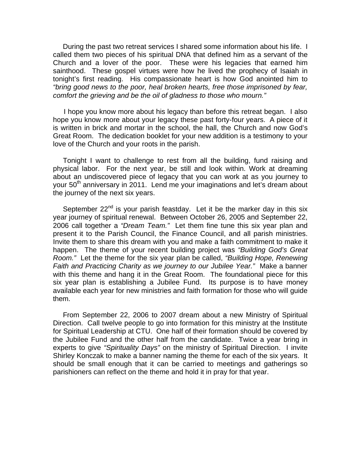During the past two retreat services I shared some information about his life. I called them two pieces of his spiritual DNA that defined him as a servant of the Church and a lover of the poor. These were his legacies that earned him sainthood. These gospel virtues were how he lived the prophecy of Isaiah in tonight's first reading. His compassionate heart is how God anointed him to *"bring good news to the poor, heal broken hearts, free those imprisoned by fear, comfort the grieving and be the oil of gladness to those who mourn."* 

 I hope you know more about his legacy than before this retreat began. I also hope you know more about your legacy these past forty-four years. A piece of it is written in brick and mortar in the school, the hall, the Church and now God's Great Room. The dedication booklet for your new addition is a testimony to your love of the Church and your roots in the parish.

 Tonight I want to challenge to rest from all the building, fund raising and physical labor. For the next year, be still and look within. Work at dreaming about an undiscovered piece of legacy that you can work at as you journey to your 50<sup>th</sup> anniversary in 2011. Lend me your imaginations and let's dream about the journey of the next six years.

September  $22^{nd}$  is your parish feastday. Let it be the marker day in this six year journey of spiritual renewal. Between October 26, 2005 and September 22, 2006 call together a *"Dream Team."* Let them fine tune this six year plan and present it to the Parish Council, the Finance Council, and all parish ministries. Invite them to share this dream with you and make a faith commitment to make it happen. The theme of your recent building project was *"Building God's Great Room."* Let the theme for the six year plan be called, *"Building Hope, Renewing Faith and Practicing Charity as we journey to our Jubilee Year."* Make a banner with this theme and hang it in the Great Room. The foundational piece for this six year plan is establishing a Jubilee Fund. Its purpose is to have money available each year for new ministries and faith formation for those who will guide them.

 From September 22, 2006 to 2007 dream about a new Ministry of Spiritual Direction. Call twelve people to go into formation for this ministry at the Institute for Spiritual Leadership at CTU. One half of their formation should be covered by the Jubilee Fund and the other half from the candidate. Twice a year bring in experts to give *"Spirituality Days"* on the ministry of Spiritual Direction. I invite Shirley Konczak to make a banner naming the theme for each of the six years. It should be small enough that it can be carried to meetings and gatherings so parishioners can reflect on the theme and hold it in pray for that year.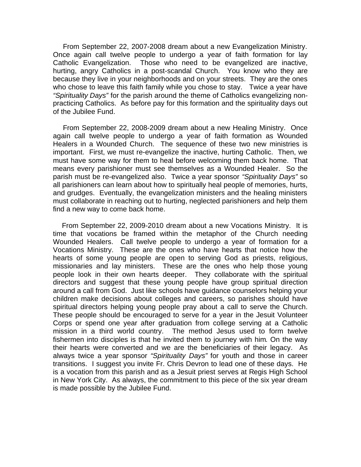From September 22, 2007-2008 dream about a new Evangelization Ministry. Once again call twelve people to undergo a year of faith formation for lay Catholic Evangelization. Those who need to be evangelized are inactive, hurting, angry Catholics in a post-scandal Church. You know who they are because they live in your neighborhoods and on your streets. They are the ones who chose to leave this faith family while you chose to stay. Twice a year have *"Spirituality Days"* for the parish around the theme of Catholics evangelizing nonpracticing Catholics. As before pay for this formation and the spirituality days out of the Jubilee Fund.

 From September 22, 2008-2009 dream about a new Healing Ministry. Once again call twelve people to undergo a year of faith formation as Wounded Healers in a Wounded Church. The sequence of these two new ministries is important. First, we must re-evangelize the inactive, hurting Catholic. Then, we must have some way for them to heal before welcoming them back home. That means every parishioner must see themselves as a Wounded Healer. So the parish must be re-evangelized also. Twice a year sponsor *"Spirituality Days"* so all parishioners can learn about how to spiritually heal people of memories, hurts, and grudges. Eventually, the evangelization ministers and the healing ministers must collaborate in reaching out to hurting, neglected parishioners and help them find a new way to come back home.

 From September 22, 2009-2010 dream about a new Vocations Ministry. It is time that vocations be framed within the metaphor of the Church needing Wounded Healers. Call twelve people to undergo a year of formation for a Vocations Ministry. These are the ones who have hearts that notice how the hearts of some young people are open to serving God as priests, religious, missionaries and lay ministers. These are the ones who help those young people look in their own hearts deeper. They collaborate with the spiritual directors and suggest that these young people have group spiritual direction around a call from God. Just like schools have guidance counselors helping your children make decisions about colleges and careers, so parishes should have spiritual directors helping young people pray about a call to serve the Church. These people should be encouraged to serve for a year in the Jesuit Volunteer Corps or spend one year after graduation from college serving at a Catholic mission in a third world country. The method Jesus used to form twelve fishermen into disciples is that he invited them to journey with him. On the way their hearts were converted and we are the beneficiaries of their legacy. As always twice a year sponsor *"Spirituality Days"* for youth and those in career transitions. I suggest you invite Fr. Chris Devron to lead one of these days. He is a vocation from this parish and as a Jesuit priest serves at Regis High School in New York City. As always, the commitment to this piece of the six year dream is made possible by the Jubilee Fund.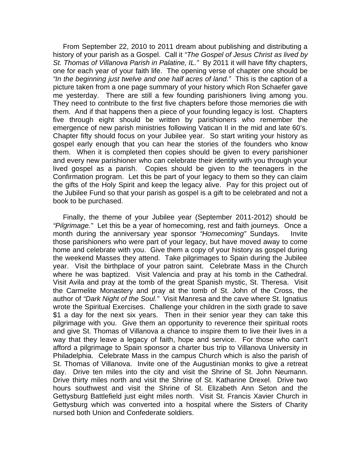From September 22, 2010 to 2011 dream about publishing and distributing a history of your parish as a Gospel. Call it *"The Gospel of Jesus Christ as lived by St. Thomas of Villanova Parish in Palatine, IL."* By 2011 it will have fifty chapters, one for each year of your faith life. The opening verse of chapter one should be *"In the beginning just twelve and one half acres of land."* This is the caption of a picture taken from a one page summary of your history which Ron Schaefer gave me yesterday. There are still a few founding parishioners living among you. They need to contribute to the first five chapters before those memories die with them. And if that happens then a piece of your founding legacy is lost. Chapters five through eight should be written by parishioners who remember the emergence of new parish ministries following Vatican II in the mid and late 60's. Chapter fifty should focus on your Jubilee year. So start writing your history as gospel early enough that you can hear the stories of the founders who know them. When it is completed then copies should be given to every parishioner and every new parishioner who can celebrate their identity with you through your lived gospel as a parish. Copies should be given to the teenagers in the Confirmation program. Let this be part of your legacy to them so they can claim the gifts of the Holy Spirit and keep the legacy alive. Pay for this project out of the Jubilee Fund so that your parish as gospel is a gift to be celebrated and not a book to be purchased.

 Finally, the theme of your Jubilee year (September 2011-2012) should be *"Pilgrimage."* Let this be a year of homecoming, rest and faith journeys. Once a month during the anniversary year sponsor *"Homecoming"* Sundays. Invite those parishioners who were part of your legacy, but have moved away to come home and celebrate with you. Give them a copy of your history as gospel during the weekend Masses they attend. Take pilgrimages to Spain during the Jubilee year. Visit the birthplace of your patron saint. Celebrate Mass in the Church where he was baptized. Visit Valencia and pray at his tomb in the Cathedral. Visit Avila and pray at the tomb of the great Spanish mystic, St. Theresa. Visit the Carmelite Monastery and pray at the tomb of St. John of the Cross, the author of *"Dark Night of the Soul."* Visit Manresa and the cave where St. Ignatius wrote the Spiritual Exercises. Challenge your children in the sixth grade to save \$1 a day for the next six years. Then in their senior year they can take this pilgrimage with you. Give them an opportunity to reverence their spiritual roots and give St. Thomas of Villanova a chance to inspire them to live their lives in a way that they leave a legacy of faith, hope and service. For those who can't afford a pilgrimage to Spain sponsor a charter bus trip to Villanova University in Philadelphia. Celebrate Mass in the campus Church which is also the parish of St. Thomas of Villanova. Invite one of the Augustinian monks to give a retreat day. Drive ten miles into the city and visit the Shrine of St. John Neumann. Drive thirty miles north and visit the Shrine of St. Katharine Drexel. Drive two hours southwest and visit the Shrine of St. Elizabeth Ann Seton and the Gettysburg Battlefield just eight miles north. Visit St. Francis Xavier Church in Gettysburg which was converted into a hospital where the Sisters of Charity nursed both Union and Confederate soldiers.